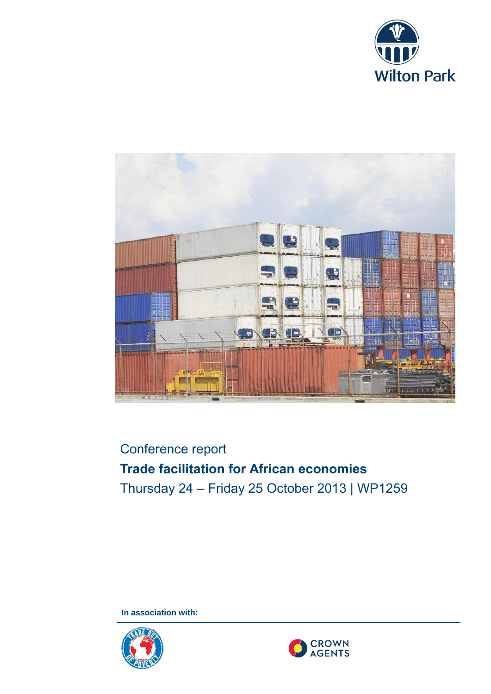



# Conference report **Trade facilitation for African economies** Thursday 24 – Friday 25 October 2013 | WP1259

**In association with:**



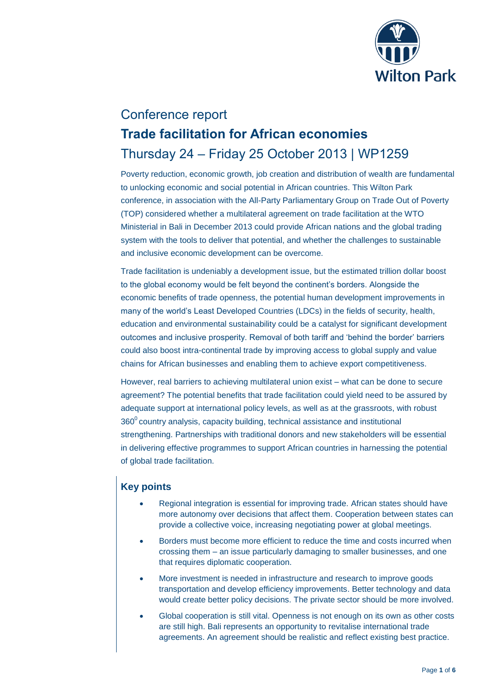

## Conference report **Trade facilitation for African economies** Thursday 24 – Friday 25 October 2013 | WP1259

Poverty reduction, economic growth, job creation and distribution of wealth are fundamental to unlocking economic and social potential in African countries. This Wilton Park conference, in association with the All-Party Parliamentary Group on Trade Out of Poverty (TOP) considered whether a multilateral agreement on trade facilitation at the WTO Ministerial in Bali in December 2013 could provide African nations and the global trading system with the tools to deliver that potential, and whether the challenges to sustainable and inclusive economic development can be overcome.

Trade facilitation is undeniably a development issue, but the estimated trillion dollar boost to the global economy would be felt beyond the continent's borders. Alongside the economic benefits of trade openness, the potential human development improvements in many of the world's Least Developed Countries (LDCs) in the fields of security, health, education and environmental sustainability could be a catalyst for significant development outcomes and inclusive prosperity. Removal of both tariff and 'behind the border' barriers could also boost intra-continental trade by improving access to global supply and value chains for African businesses and enabling them to achieve export competitiveness.

However, real barriers to achieving multilateral union exist – what can be done to secure agreement? The potential benefits that trade facilitation could yield need to be assured by adequate support at international policy levels, as well as at the grassroots, with robust  $360<sup>o</sup>$  country analysis, capacity building, technical assistance and institutional strengthening. Partnerships with traditional donors and new stakeholders will be essential in delivering effective programmes to support African countries in harnessing the potential of global trade facilitation.

## **Key points**

- Regional integration is essential for improving trade. African states should have more autonomy over decisions that affect them. Cooperation between states can provide a collective voice, increasing negotiating power at global meetings.
- Borders must become more efficient to reduce the time and costs incurred when crossing them – an issue particularly damaging to smaller businesses, and one that requires diplomatic cooperation.
- More investment is needed in infrastructure and research to improve goods transportation and develop efficiency improvements. Better technology and data would create better policy decisions. The private sector should be more involved.
- Global cooperation is still vital. Openness is not enough on its own as other costs are still high. Bali represents an opportunity to revitalise international trade agreements. An agreement should be realistic and reflect existing best practice.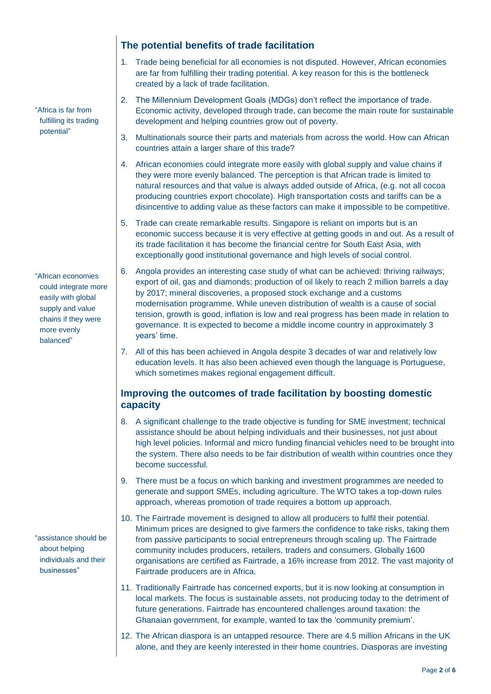"Africa is far from fulfilling its trading potential"

"African economies could integrate more easily with global supply and value chains if they were more evenly balanced"

"assistance should be about helping individuals and their businesses"

## **The potential benefits of trade facilitation**

- 1. Trade being beneficial for all economies is not disputed. However, African economies are far from fulfilling their trading potential. A key reason for this is the bottleneck created by a lack of trade facilitation.
- 2. The Millennium Development Goals (MDGs) don't reflect the importance of trade. Economic activity, developed through trade, can become the main route for sustainable development and helping countries grow out of poverty.
- 3. Multinationals source their parts and materials from across the world. How can African countries attain a larger share of this trade?
- 4. African economies could integrate more easily with global supply and value chains if they were more evenly balanced. The perception is that African trade is limited to natural resources and that value is always added outside of Africa, (e.g. not all cocoa producing countries export chocolate). High transportation costs and tariffs can be a disincentive to adding value as these factors can make it impossible to be competitive.
- 5. Trade can create remarkable results. Singapore is reliant on imports but is an economic success because it is very effective at getting goods in and out. As a result of its trade facilitation it has become the financial centre for South East Asia, with exceptionally good institutional governance and high levels of social control.
- 6. Angola provides an interesting case study of what can be achieved: thriving railways; export of oil, gas and diamonds; production of oil likely to reach 2 million barrels a day by 2017; mineral discoveries, a proposed stock exchange and a customs modernisation programme. While uneven distribution of wealth is a cause of social tension, growth is good, inflation is low and real progress has been made in relation to governance. It is expected to become a middle income country in approximately 3 years' time.
- 7. All of this has been achieved in Angola despite 3 decades of war and relatively low education levels. It has also been achieved even though the language is Portuguese, which sometimes makes regional engagement difficult.

### **Improving the outcomes of trade facilitation by boosting domestic capacity**

- 8. A significant challenge to the trade objective is funding for SME investment; technical assistance should be about helping individuals and their businesses, not just about high level policies. Informal and micro funding financial vehicles need to be brought into the system. There also needs to be fair distribution of wealth within countries once they become successful.
- 9. There must be a focus on which banking and investment programmes are needed to generate and support SMEs, including agriculture. The WTO takes a top-down rules approach, whereas promotion of trade requires a bottom up approach.
- 10. The Fairtrade movement is designed to allow all producers to fulfil their potential. Minimum prices are designed to give farmers the confidence to take risks, taking them from passive participants to social entrepreneurs through scaling up. The Fairtrade community includes producers, retailers, traders and consumers. Globally 1600 organisations are certified as Fairtrade, a 16% increase from 2012. The vast majority of Fairtrade producers are in Africa.
- 11. Traditionally Fairtrade has concerned exports, but it is now looking at consumption in local markets. The focus is sustainable assets, not producing today to the detriment of future generations. Fairtrade has encountered challenges around taxation: the Ghanaian government, for example, wanted to tax the 'community premium'.
- 12. The African diaspora is an untapped resource. There are 4.5 million Africans in the UK alone, and they are keenly interested in their home countries. Diasporas are investing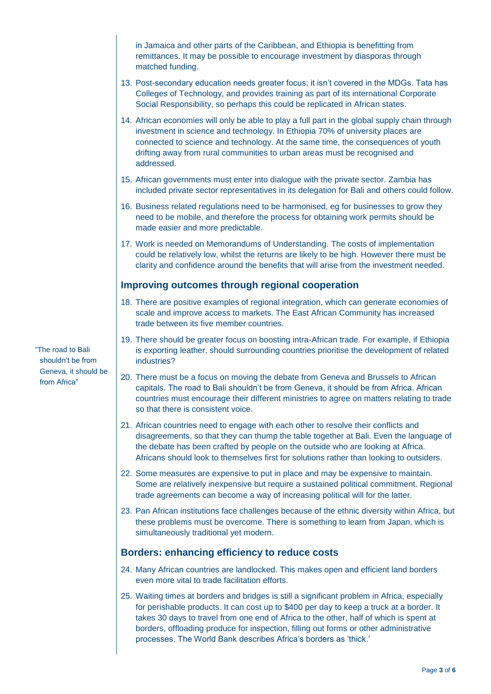in Jamaica and other parts of the Caribbean, and Ethiopia is benefitting from remittances. It may be possible to encourage investment by diasporas through matched funding.

- 13. Post-secondary education needs greater focus; it isn't covered in the MDGs. Tata has Colleges of Technology, and provides training as part of its international Corporate Social Responsibility, so perhaps this could be replicated in African states.
- 14. African economies will only be able to play a full part in the global supply chain through investment in science and technology. In Ethiopia 70% of university places are connected to science and technology. At the same time, the consequences of youth drifting away from rural communities to urban areas must be recognised and addressed.
- 15. African governments must enter into dialogue with the private sector. Zambia has included private sector representatives in its delegation for Bali and others could follow.
- 16. Business related regulations need to be harmonised, eg for businesses to grow they need to be mobile, and therefore the process for obtaining work permits should be made easier and more predictable.
- 17. Work is needed on Memorandums of Understanding. The costs of implementation could be relatively low, whilst the returns are likely to be high. However there must be clarity and confidence around the benefits that will arise from the investment needed.

#### **Improving outcomes through regional cooperation**

- 18. There are positive examples of regional integration, which can generate economies of scale and improve access to markets. The East African Community has increased trade between its five member countries.
- 19. There should be greater focus on boosting intra-African trade. For example, if Ethiopia is exporting leather, should surrounding countries prioritise the development of related industries?
- 20. There must be a focus on moving the debate from Geneva and Brussels to African capitals. The road to Bali shouldn't be from Geneva, it should be from Africa. African countries must encourage their different ministries to agree on matters relating to trade so that there is consistent voice.
- 21. African countries need to engage with each other to resolve their conflicts and disagreements, so that they can thump the table together at Bali. Even the language of the debate has been crafted by people on the outside who are looking at Africa. Africans should look to themselves first for solutions rather than looking to outsiders.
- 22. Some measures are expensive to put in place and may be expensive to maintain. Some are relatively inexpensive but require a sustained political commitment. Regional trade agreements can become a way of increasing political will for the latter.
- 23. Pan African institutions face challenges because of the ethnic diversity within Africa, but these problems must be overcome. There is something to learn from Japan, which is simultaneously traditional yet modern.

### **Borders: enhancing efficiency to reduce costs**

- 24. Many African countries are landlocked. This makes open and efficient land borders even more vital to trade facilitation efforts.
- 25. Waiting times at borders and bridges is still a significant problem in Africa, especially for perishable products. It can cost up to \$400 per day to keep a truck at a border. It takes 30 days to travel from one end of Africa to the other, half of which is spent at borders, offloading produce for inspection, filling out forms or other administrative processes. The World Bank describes Africa's borders as 'thick.'

"The road to Bali shouldn't be from Geneva, it should be from Africa"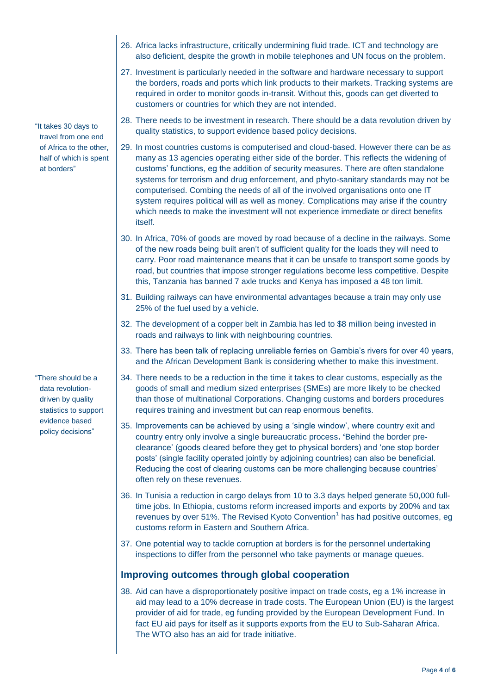"It takes 30 days to travel from one end of Africa to the other, half of which is spent at borders"

"There should be a data revolutiondriven by quality statistics to support evidence based policy decisions"

- 26. Africa lacks infrastructure, critically undermining fluid trade. ICT and technology are also deficient, despite the growth in mobile telephones and UN focus on the problem.
- 27. Investment is particularly needed in the software and hardware necessary to support the borders, roads and ports which link products to their markets. Tracking systems are required in order to monitor goods in-transit. Without this, goods can get diverted to customers or countries for which they are not intended.
- 28. There needs to be investment in research. There should be a data revolution driven by quality statistics, to support evidence based policy decisions.
- 29. In most countries customs is computerised and cloud-based. However there can be as many as 13 agencies operating either side of the border. This reflects the widening of customs' functions, eg the addition of security measures. There are often standalone systems for terrorism and drug enforcement, and phyto-sanitary standards may not be computerised. Combing the needs of all of the involved organisations onto one IT system requires political will as well as money. Complications may arise if the country which needs to make the investment will not experience immediate or direct benefits itself.
- 30. In Africa, 70% of goods are moved by road because of a decline in the railways. Some of the new roads being built aren't of sufficient quality for the loads they will need to carry. Poor road maintenance means that it can be unsafe to transport some goods by road, but countries that impose stronger regulations become less competitive. Despite this, Tanzania has banned 7 axle trucks and Kenya has imposed a 48 ton limit.
- 31. Building railways can have environmental advantages because a train may only use 25% of the fuel used by a vehicle.
- 32. The development of a copper belt in Zambia has led to \$8 million being invested in roads and railways to link with neighbouring countries.
- 33. There has been talk of replacing unreliable ferries on Gambia's rivers for over 40 years, and the African Development Bank is considering whether to make this investment.
- 34. There needs to be a reduction in the time it takes to clear customs, especially as the goods of small and medium sized enterprises (SMEs) are more likely to be checked than those of multinational Corporations. Changing customs and borders procedures requires training and investment but can reap enormous benefits.
- 35. Improvements can be achieved by using a 'single window', where country exit and country entry only involve a single bureaucratic process**. '**Behind the border preclearance' (goods cleared before they get to physical borders) and 'one stop border posts' (single facility operated jointly by adjoining countries) can also be beneficial. Reducing the cost of clearing customs can be more challenging because countries' often rely on these revenues.
- 36. In Tunisia a reduction in cargo delays from 10 to 3.3 days helped generate 50,000 fulltime jobs. In Ethiopia, customs reform increased imports and exports by 200% and tax revenues by over 51%. The Revised Kyoto Convention<sup>1</sup> has had positive outcomes, eg customs reform in Eastern and Southern Africa.
- 37. One potential way to tackle corruption at borders is for the personnel undertaking inspections to differ from the personnel who take payments or manage queues.

## **Improving outcomes through global cooperation**

38. Aid can have a disproportionately positive impact on trade costs, eg a 1% increase in aid may lead to a 10% decrease in trade costs. The European Union (EU) is the largest provider of aid for trade, eg funding provided by the European Development Fund. In fact EU aid pays for itself as it supports exports from the EU to Sub-Saharan Africa. The WTO also has an aid for trade initiative.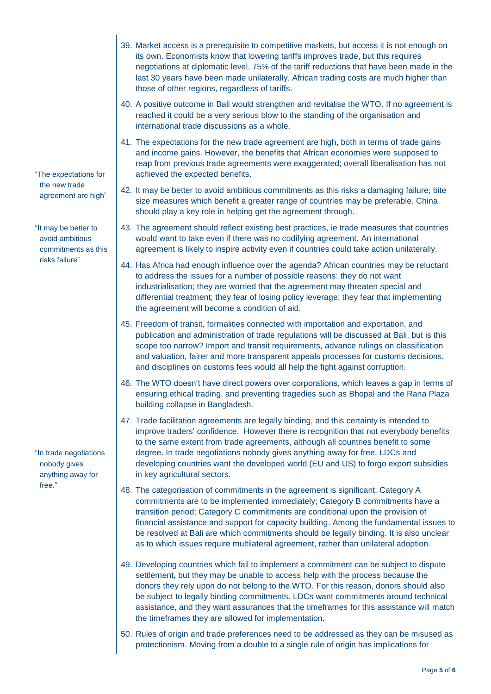"The expectations for the new trade agreement are high"

"It may be better to avoid ambitious commitments as this risks failure"

"In trade negotiations nobody gives anything away for free."

- 39. Market access is a prerequisite to competitive markets, but access it is not enough on its own. Economists know that lowering tariffs improves trade, but this requires negotiations at diplomatic level. 75% of the tariff reductions that have been made in the last 30 years have been made unilaterally. African trading costs are much higher than those of other regions, regardless of tariffs.
- 40. A positive outcome in Bali would strengthen and revitalise the WTO. If no agreement is reached it could be a very serious blow to the standing of the organisation and international trade discussions as a whole.
- 41. The expectations for the new trade agreement are high, both in terms of trade gains and income gains. However, the benefits that African economies were supposed to reap from previous trade agreements were exaggerated; overall liberalisation has not achieved the expected benefits.
- 42. It may be better to avoid ambitious commitments as this risks a damaging failure; bite size measures which benefit a greater range of countries may be preferable. China should play a key role in helping get the agreement through.
- 43. The agreement should reflect existing best practices, ie trade measures that countries would want to take even if there was no codifying agreement. An international agreement is likely to inspire activity even if countries could take action unilaterally.
- 44. Has Africa had enough influence over the agenda? African countries may be reluctant to address the issues for a number of possible reasons: they do not want industrialisation; they are worried that the agreement may threaten special and differential treatment; they fear of losing policy leverage; they fear that implementing the agreement will become a condition of aid.
- 45. Freedom of transit, formalities connected with importation and exportation, and publication and administration of trade regulations will be discussed at Bali, but is this scope too narrow? Import and transit requirements, advance rulings on classification and valuation, fairer and more transparent appeals processes for customs decisions, and disciplines on customs fees would all help the fight against corruption.
- 46. The WTO doesn't have direct powers over corporations, which leaves a gap in terms of ensuring ethical trading, and preventing tragedies such as Bhopal and the Rana Plaza building collapse in Bangladesh.
- 47. Trade facilitation agreements are legally binding, and this certainty is intended to improve traders' confidence. However there is recognition that not everybody benefits to the same extent from trade agreements, although all countries benefit to some degree. In trade negotiations nobody gives anything away for free. LDCs and developing countries want the developed world (EU and US) to forgo export subsidies in key agricultural sectors.
- 48. The categorisation of commitments in the agreement is significant. Category A commitments are to be implemented immediately; Category B commitments have a transition period; Category C commitments are conditional upon the provision of financial assistance and support for capacity building. Among the fundamental issues to be resolved at Bali are which commitments should be legally binding. It is also unclear as to which issues require multilateral agreement, rather than unilateral adoption.
- 49. Developing countries which fail to implement a commitment can be subject to dispute settlement, but they may be unable to access help with the process because the donors they rely upon do not belong to the WTO. For this reason, donors should also be subject to legally binding commitments. LDCs want commitments around technical assistance, and they want assurances that the timeframes for this assistance will match the timeframes they are allowed for implementation.
- 50. Rules of origin and trade preferences need to be addressed as they can be misused as protectionism. Moving from a double to a single rule of origin has implications for